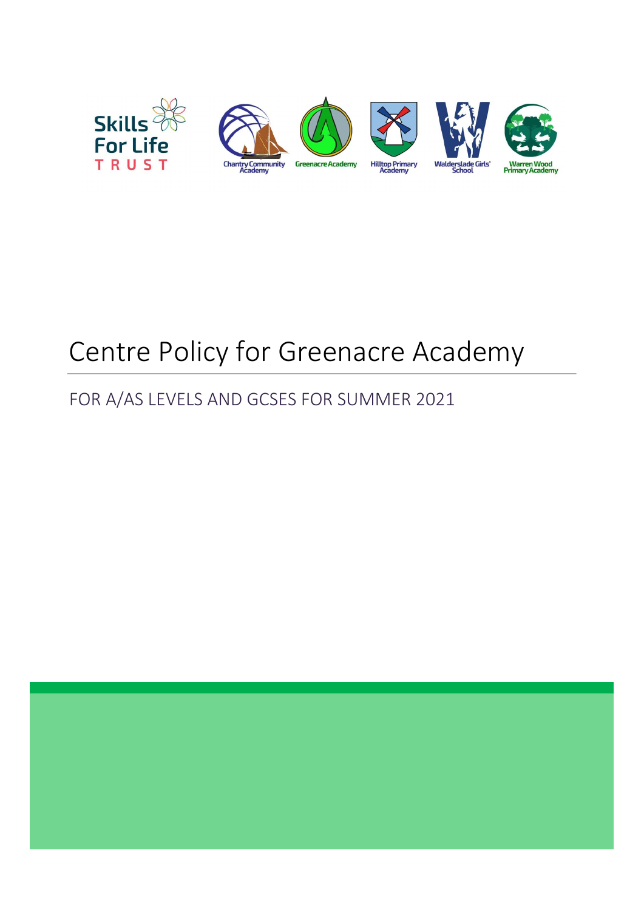

# Centre Policy for Greenacre Academy

# FOR A/AS LEVELS AND GCSES FOR SUMMER 2021

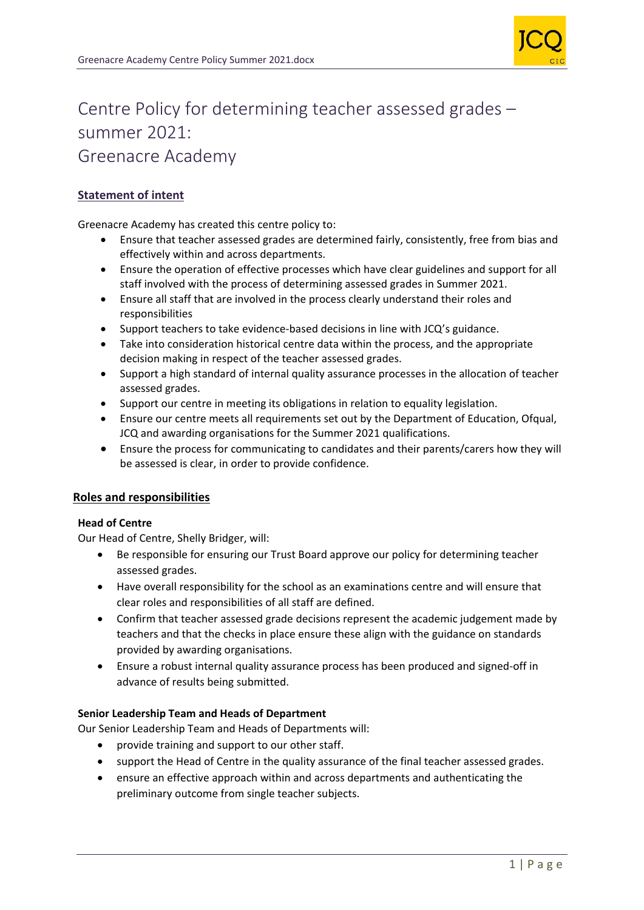

# Centre Policy for determining teacher assessed grades – summer 2021: Greenacre Academy

# **Statement of intent**

Greenacre Academy has created this centre policy to:

- Ensure that teacher assessed grades are determined fairly, consistently, free from bias and effectively within and across departments.
- Ensure the operation of effective processes which have clear guidelines and support for all staff involved with the process of determining assessed grades in Summer 2021.
- Ensure all staff that are involved in the process clearly understand their roles and responsibilities
- Support teachers to take evidence-based decisions in line with JCQ's guidance.
- Take into consideration historical centre data within the process, and the appropriate decision making in respect of the teacher assessed grades.
- Support a high standard of internal quality assurance processes in the allocation of teacher assessed grades.
- Support our centre in meeting its obligations in relation to equality legislation.
- Ensure our centre meets all requirements set out by the Department of Education, Ofqual, JCQ and awarding organisations for the Summer 2021 qualifications.
- Ensure the process for communicating to candidates and their parents/carers how they will be assessed is clear, in order to provide confidence.

# **Roles and responsibilities**

#### **Head of Centre**

Our Head of Centre, Shelly Bridger, will:

- Be responsible for ensuring our Trust Board approve our policy for determining teacher assessed grades.
- Have overall responsibility for the school as an examinations centre and will ensure that clear roles and responsibilities of all staff are defined.
- Confirm that teacher assessed grade decisions represent the academic judgement made by teachers and that the checks in place ensure these align with the guidance on standards provided by awarding organisations.
- Ensure a robust internal quality assurance process has been produced and signed-off in advance of results being submitted.

#### **Senior Leadership Team and Heads of Department**

Our Senior Leadership Team and Heads of Departments will:

- provide training and support to our other staff.
- support the Head of Centre in the quality assurance of the final teacher assessed grades.
- ensure an effective approach within and across departments and authenticating the preliminary outcome from single teacher subjects.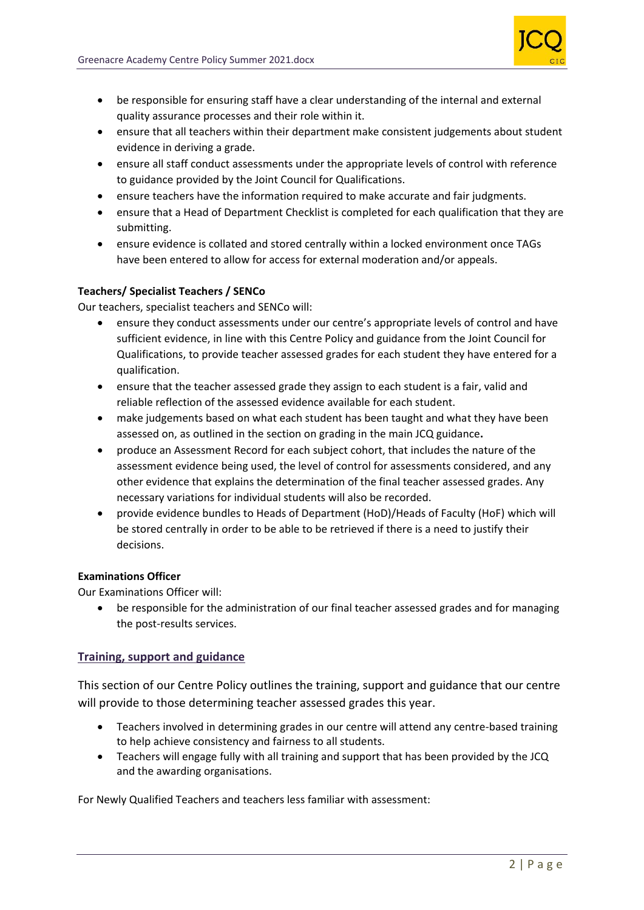

- be responsible for ensuring staff have a clear understanding of the internal and external quality assurance processes and their role within it.
- ensure that all teachers within their department make consistent judgements about student evidence in deriving a grade.
- ensure all staff conduct assessments under the appropriate levels of control with reference to guidance provided by the Joint Council for Qualifications.
- ensure teachers have the information required to make accurate and fair judgments.
- ensure that a Head of Department Checklist is completed for each qualification that they are submitting.
- ensure evidence is collated and stored centrally within a locked environment once TAGs have been entered to allow for access for external moderation and/or appeals.

#### **Teachers/ Specialist Teachers / SENCo**

Our teachers, specialist teachers and SENCo will:

- ensure they conduct assessments under our centre's appropriate levels of control and have sufficient evidence, in line with this Centre Policy and guidance from the Joint Council for Qualifications, to provide teacher assessed grades for each student they have entered for a qualification.
- ensure that the teacher assessed grade they assign to each student is a fair, valid and reliable reflection of the assessed evidence available for each student.
- make judgements based on what each student has been taught and what they have been assessed on, as outlined in the section on grading in the main JCQ guidance**.**
- produce an Assessment Record for each subject cohort, that includes the nature of the assessment evidence being used, the level of control for assessments considered, and any other evidence that explains the determination of the final teacher assessed grades. Any necessary variations for individual students will also be recorded.
- provide evidence bundles to Heads of Department (HoD)/Heads of Faculty (HoF) which will be stored centrally in order to be able to be retrieved if there is a need to justify their decisions.

#### **Examinations Officer**

Our Examinations Officer will:

• be responsible for the administration of our final teacher assessed grades and for managing the post-results services.

# **Training, support and guidance**

This section of our Centre Policy outlines the training, support and guidance that our centre will provide to those determining teacher assessed grades this year.

- Teachers involved in determining grades in our centre will attend any centre-based training to help achieve consistency and fairness to all students.
- Teachers will engage fully with all training and support that has been provided by the JCQ and the awarding organisations.

For Newly Qualified Teachers and teachers less familiar with assessment: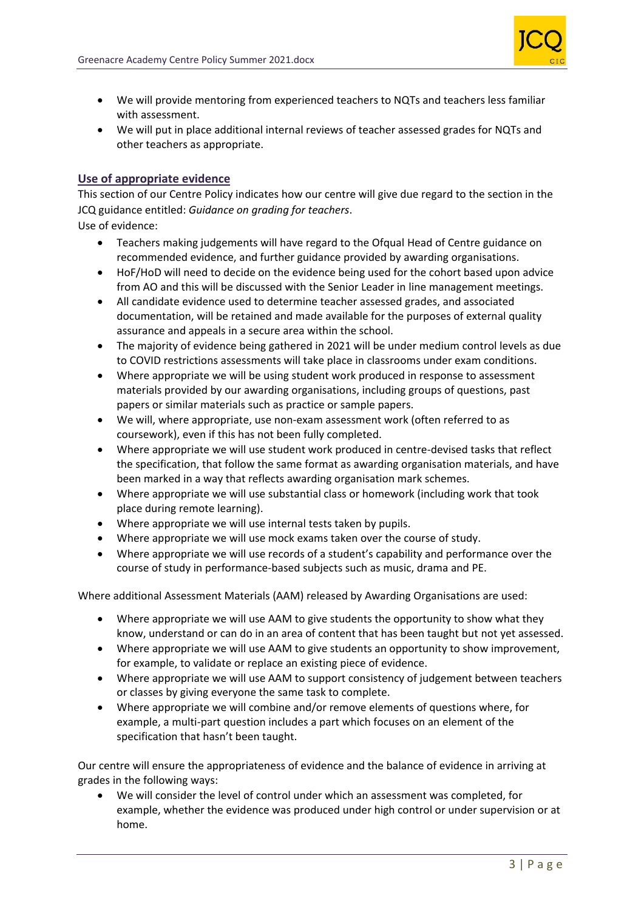

- We will provide mentoring from experienced teachers to NQTs and teachers less familiar with assessment.
- We will put in place additional internal reviews of teacher assessed grades for NQTs and other teachers as appropriate.

### **Use of appropriate evidence**

This section of our Centre Policy indicates how our centre will give due regard to the section in the JCQ guidance entitled: *Guidance on grading for teachers*.

Use of evidence:

- Teachers making judgements will have regard to the Ofqual Head of Centre guidance on recommended evidence, and further guidance provided by awarding organisations.
- HoF/HoD will need to decide on the evidence being used for the cohort based upon advice from AO and this will be discussed with the Senior Leader in line management meetings.
- All candidate evidence used to determine teacher assessed grades, and associated documentation, will be retained and made available for the purposes of external quality assurance and appeals in a secure area within the school.
- The majority of evidence being gathered in 2021 will be under medium control levels as due to COVID restrictions assessments will take place in classrooms under exam conditions.
- Where appropriate we will be using student work produced in response to assessment materials provided by our awarding organisations, including groups of questions, past papers or similar materials such as practice or sample papers.
- We will, where appropriate, use non-exam assessment work (often referred to as coursework), even if this has not been fully completed.
- Where appropriate we will use student work produced in centre-devised tasks that reflect the specification, that follow the same format as awarding organisation materials, and have been marked in a way that reflects awarding organisation mark schemes.
- Where appropriate we will use substantial class or homework (including work that took place during remote learning).
- Where appropriate we will use internal tests taken by pupils.
- Where appropriate we will use mock exams taken over the course of study.
- Where appropriate we will use records of a student's capability and performance over the course of study in performance-based subjects such as music, drama and PE.

Where additional Assessment Materials (AAM) released by Awarding Organisations are used:

- Where appropriate we will use AAM to give students the opportunity to show what they know, understand or can do in an area of content that has been taught but not yet assessed.
- Where appropriate we will use AAM to give students an opportunity to show improvement, for example, to validate or replace an existing piece of evidence.
- Where appropriate we will use AAM to support consistency of judgement between teachers or classes by giving everyone the same task to complete.
- Where appropriate we will combine and/or remove elements of questions where, for example, a multi-part question includes a part which focuses on an element of the specification that hasn't been taught.

Our centre will ensure the appropriateness of evidence and the balance of evidence in arriving at grades in the following ways:

• We will consider the level of control under which an assessment was completed, for example, whether the evidence was produced under high control or under supervision or at home.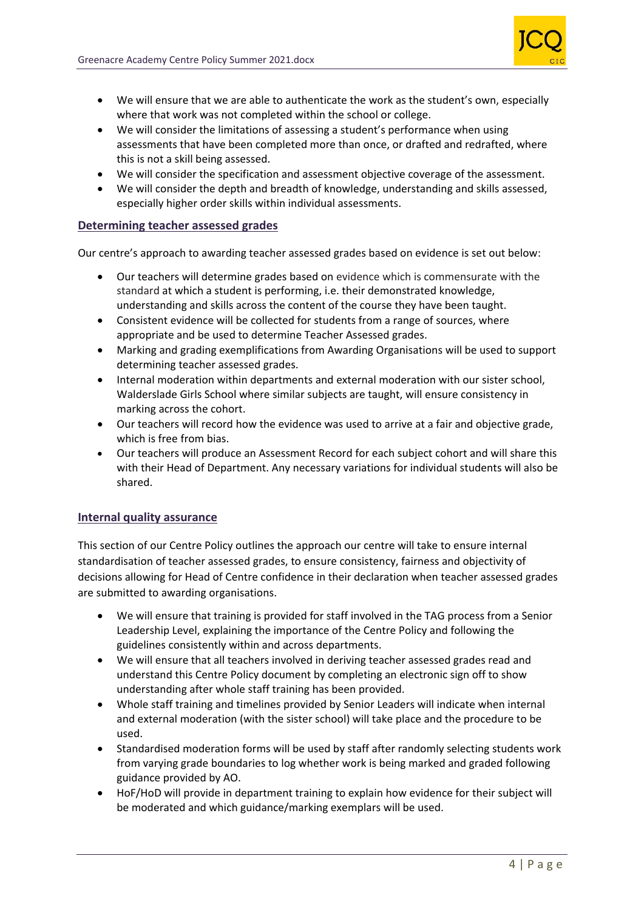

- We will ensure that we are able to authenticate the work as the student's own, especially where that work was not completed within the school or college.
- We will consider the limitations of assessing a student's performance when using assessments that have been completed more than once, or drafted and redrafted, where this is not a skill being assessed.
- We will consider the specification and assessment objective coverage of the assessment.
- We will consider the depth and breadth of knowledge, understanding and skills assessed, especially higher order skills within individual assessments.

#### **Determining teacher assessed grades**

Our centre's approach to awarding teacher assessed grades based on evidence is set out below:

- Our teachers will determine grades based on evidence which is commensurate with the standard at which a student is performing, i.e. their demonstrated knowledge, understanding and skills across the content of the course they have been taught.
- Consistent evidence will be collected for students from a range of sources, where appropriate and be used to determine Teacher Assessed grades.
- Marking and grading exemplifications from Awarding Organisations will be used to support determining teacher assessed grades.
- Internal moderation within departments and external moderation with our sister school, Walderslade Girls School where similar subjects are taught, will ensure consistency in marking across the cohort.
- Our teachers will record how the evidence was used to arrive at a fair and objective grade, which is free from bias.
- Our teachers will produce an Assessment Record for each subject cohort and will share this with their Head of Department. Any necessary variations for individual students will also be shared.

#### **Internal quality assurance**

This section of our Centre Policy outlines the approach our centre will take to ensure internal standardisation of teacher assessed grades, to ensure consistency, fairness and objectivity of decisions allowing for Head of Centre confidence in their declaration when teacher assessed grades are submitted to awarding organisations.

- We will ensure that training is provided for staff involved in the TAG process from a Senior Leadership Level, explaining the importance of the Centre Policy and following the guidelines consistently within and across departments.
- We will ensure that all teachers involved in deriving teacher assessed grades read and understand this Centre Policy document by completing an electronic sign off to show understanding after whole staff training has been provided.
- Whole staff training and timelines provided by Senior Leaders will indicate when internal and external moderation (with the sister school) will take place and the procedure to be used.
- Standardised moderation forms will be used by staff after randomly selecting students work from varying grade boundaries to log whether work is being marked and graded following guidance provided by AO.
- HoF/HoD will provide in department training to explain how evidence for their subject will be moderated and which guidance/marking exemplars will be used.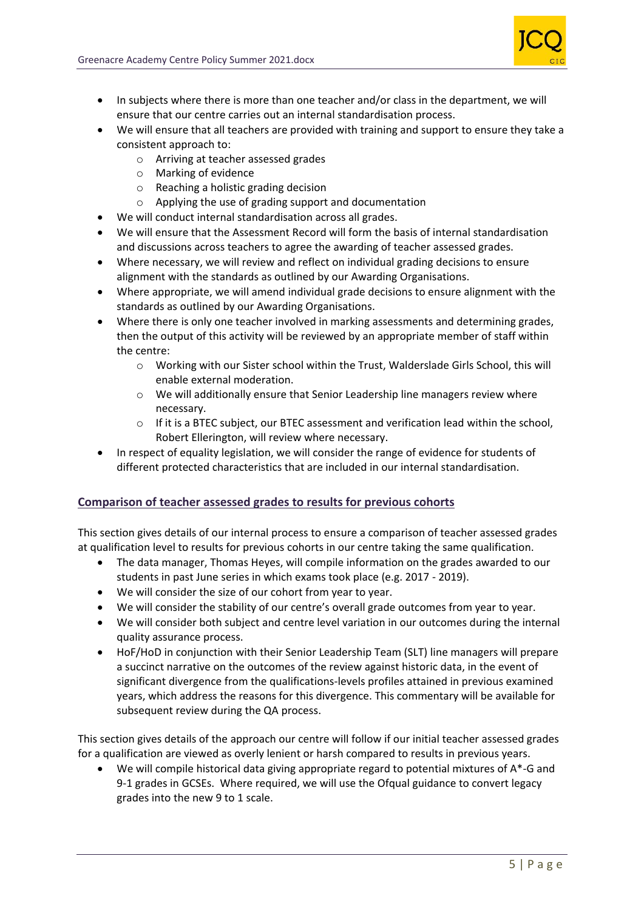

- In subjects where there is more than one teacher and/or class in the department, we will ensure that our centre carries out an internal standardisation process.
- We will ensure that all teachers are provided with training and support to ensure they take a consistent approach to:
	- o Arriving at teacher assessed grades
	- o Marking of evidence
	- o Reaching a holistic grading decision
	- o Applying the use of grading support and documentation
- We will conduct internal standardisation across all grades.
- We will ensure that the Assessment Record will form the basis of internal standardisation and discussions across teachers to agree the awarding of teacher assessed grades.
- Where necessary, we will review and reflect on individual grading decisions to ensure alignment with the standards as outlined by our Awarding Organisations.
- Where appropriate, we will amend individual grade decisions to ensure alignment with the standards as outlined by our Awarding Organisations.
- Where there is only one teacher involved in marking assessments and determining grades, then the output of this activity will be reviewed by an appropriate member of staff within the centre:
	- o Working with our Sister school within the Trust, Walderslade Girls School, this will enable external moderation.
	- $\circ$  We will additionally ensure that Senior Leadership line managers review where necessary.
	- $\circ$  If it is a BTEC subject, our BTEC assessment and verification lead within the school, Robert Ellerington, will review where necessary.
- In respect of equality legislation, we will consider the range of evidence for students of different protected characteristics that are included in our internal standardisation.

# **Comparison of teacher assessed grades to results for previous cohorts**

This section gives details of our internal process to ensure a comparison of teacher assessed grades at qualification level to results for previous cohorts in our centre taking the same qualification.

- The data manager, Thomas Heyes, will compile information on the grades awarded to our students in past June series in which exams took place (e.g. 2017 - 2019).
- We will consider the size of our cohort from year to year.
- We will consider the stability of our centre's overall grade outcomes from year to year.
- We will consider both subject and centre level variation in our outcomes during the internal quality assurance process.
- HoF/HoD in conjunction with their Senior Leadership Team (SLT) line managers will prepare a succinct narrative on the outcomes of the review against historic data, in the event of significant divergence from the qualifications-levels profiles attained in previous examined years, which address the reasons for this divergence. This commentary will be available for subsequent review during the QA process.

This section gives details of the approach our centre will follow if our initial teacher assessed grades for a qualification are viewed as overly lenient or harsh compared to results in previous years.

We will compile historical data giving appropriate regard to potential mixtures of  $A^*$ -G and 9-1 grades in GCSEs. Where required, we will use the Ofqual guidance to convert legacy grades into the new 9 to 1 scale.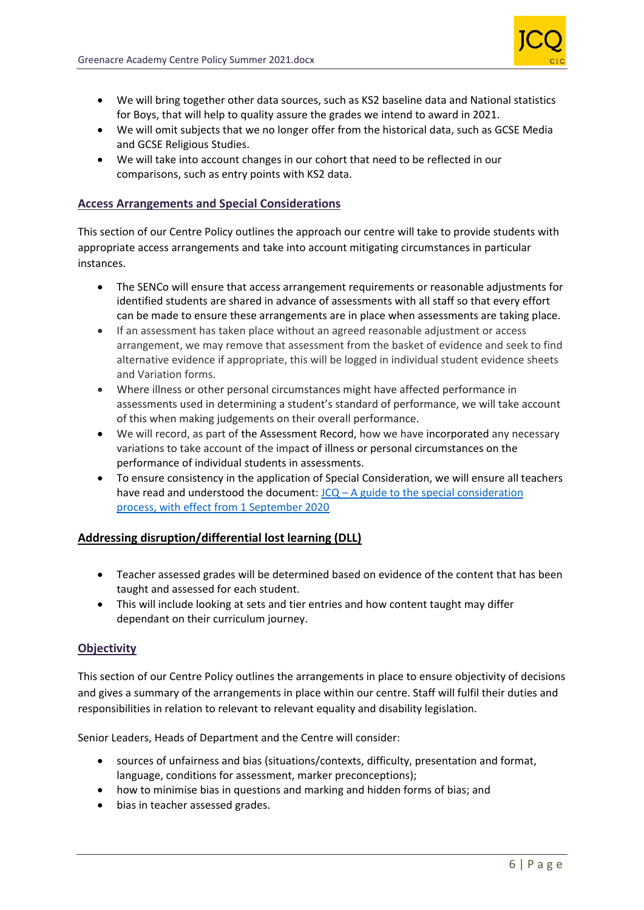

- We will bring together other data sources, such as KS2 baseline data and National statistics for Boys, that will help to quality assure the grades we intend to award in 2021.
- We will omit subjects that we no longer offer from the historical data, such as GCSE Media and GCSE Religious Studies.
- We will take into account changes in our cohort that need to be reflected in our comparisons, such as entry points with KS2 data.

# **Access Arrangements and Special Considerations**

This section of our Centre Policy outlines the approach our centre will take to provide students with appropriate access arrangements and take into account mitigating circumstances in particular instances.

- The SENCo will ensure that access arrangement requirements or reasonable adjustments for identified students are shared in advance of assessments with all staff so that every effort can be made to ensure these arrangements are in place when assessments are taking place.
- If an assessment has taken place without an agreed reasonable adjustment or access arrangement, we may remove that assessment from the basket of evidence and seek to find alternative evidence if appropriate, this will be logged in individual student evidence sheets and Variation forms.
- Where illness or other personal circumstances might have affected performance in assessments used in determining a student's standard of performance, we will take account of this when making judgements on their overall performance.
- We will record, as part of the Assessment Record, how we have incorporated any necessary variations to take account of the impact of illness or personal circumstances on the performance of individual students in assessments.
- To ensure consistency in the application of Special Consideration, we will ensure all teachers have read and understood the document:  $JCQ - A$  guide to the special consideration [process, with effect from 1 September 2020](https://www.jcq.org.uk/wp-content/uploads/2020/08/A-guide-to-the-spec-con-process-202021-Website-version.pdf)

#### **Addressing disruption/differential lost learning (DLL)**

- Teacher assessed grades will be determined based on evidence of the content that has been taught and assessed for each student.
- This will include looking at sets and tier entries and how content taught may differ dependant on their curriculum journey.

#### **Objectivity**

This section of our Centre Policy outlines the arrangements in place to ensure objectivity of decisions and gives a summary of the arrangements in place within our centre. Staff will fulfil their duties and responsibilities in relation to relevant to relevant equality and disability legislation.

Senior Leaders, Heads of Department and the Centre will consider:

- sources of unfairness and bias (situations/contexts, difficulty, presentation and format, language, conditions for assessment, marker preconceptions);
- how to minimise bias in questions and marking and hidden forms of bias; and
- bias in teacher assessed grades.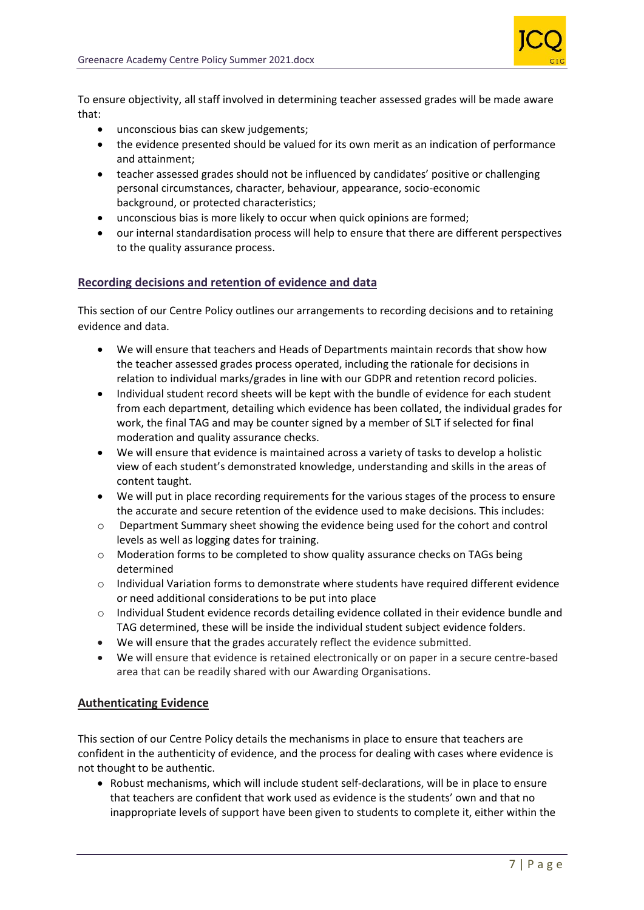

To ensure objectivity, all staff involved in determining teacher assessed grades will be made aware that:

- unconscious bias can skew judgements;
- the evidence presented should be valued for its own merit as an indication of performance and attainment;
- teacher assessed grades should not be influenced by candidates' positive or challenging personal circumstances, character, behaviour, appearance, socio-economic background, or protected characteristics;
- unconscious bias is more likely to occur when quick opinions are formed;
- our internal standardisation process will help to ensure that there are different perspectives to the quality assurance process.

#### **Recording decisions and retention of evidence and data**

This section of our Centre Policy outlines our arrangements to recording decisions and to retaining evidence and data.

- We will ensure that teachers and Heads of Departments maintain records that show how the teacher assessed grades process operated, including the rationale for decisions in relation to individual marks/grades in line with our GDPR and retention record policies.
- Individual student record sheets will be kept with the bundle of evidence for each student from each department, detailing which evidence has been collated, the individual grades for work, the final TAG and may be counter signed by a member of SLT if selected for final moderation and quality assurance checks.
- We will ensure that evidence is maintained across a variety of tasks to develop a holistic view of each student's demonstrated knowledge, understanding and skills in the areas of content taught.
- We will put in place recording requirements for the various stages of the process to ensure the accurate and secure retention of the evidence used to make decisions. This includes:
- o Department Summary sheet showing the evidence being used for the cohort and control levels as well as logging dates for training.
- $\circ$  Moderation forms to be completed to show quality assurance checks on TAGs being determined
- $\circ$  Individual Variation forms to demonstrate where students have required different evidence or need additional considerations to be put into place
- o Individual Student evidence records detailing evidence collated in their evidence bundle and TAG determined, these will be inside the individual student subject evidence folders.
- We will ensure that the grades accurately reflect the evidence submitted.
- We will ensure that evidence is retained electronically or on paper in a secure centre-based area that can be readily shared with our Awarding Organisations.

#### **Authenticating Evidence**

This section of our Centre Policy details the mechanisms in place to ensure that teachers are confident in the authenticity of evidence, and the process for dealing with cases where evidence is not thought to be authentic.

• Robust mechanisms, which will include student self-declarations, will be in place to ensure that teachers are confident that work used as evidence is the students' own and that no inappropriate levels of support have been given to students to complete it, either within the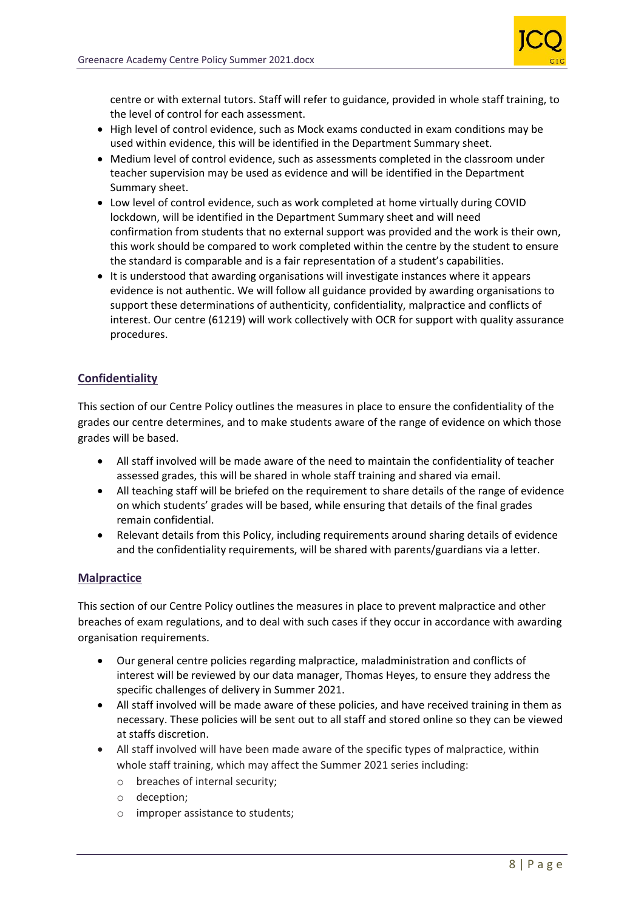

centre or with external tutors. Staff will refer to guidance, provided in whole staff training, to the level of control for each assessment.

- High level of control evidence, such as Mock exams conducted in exam conditions may be used within evidence, this will be identified in the Department Summary sheet.
- Medium level of control evidence, such as assessments completed in the classroom under teacher supervision may be used as evidence and will be identified in the Department Summary sheet.
- Low level of control evidence, such as work completed at home virtually during COVID lockdown, will be identified in the Department Summary sheet and will need confirmation from students that no external support was provided and the work is their own, this work should be compared to work completed within the centre by the student to ensure the standard is comparable and is a fair representation of a student's capabilities.
- It is understood that awarding organisations will investigate instances where it appears evidence is not authentic. We will follow all guidance provided by awarding organisations to support these determinations of authenticity, confidentiality, malpractice and conflicts of interest. Our centre (61219) will work collectively with OCR for support with quality assurance procedures.

# **Confidentiality**

This section of our Centre Policy outlines the measures in place to ensure the confidentiality of the grades our centre determines, and to make students aware of the range of evidence on which those grades will be based.

- All staff involved will be made aware of the need to maintain the confidentiality of teacher assessed grades, this will be shared in whole staff training and shared via email.
- All teaching staff will be briefed on the requirement to share details of the range of evidence on which students' grades will be based, while ensuring that details of the final grades remain confidential.
- Relevant details from this Policy, including requirements around sharing details of evidence and the confidentiality requirements, will be shared with parents/guardians via a letter.

# **Malpractice**

This section of our Centre Policy outlines the measures in place to prevent malpractice and other breaches of exam regulations, and to deal with such cases if they occur in accordance with awarding organisation requirements.

- Our general centre policies regarding malpractice, maladministration and conflicts of interest will be reviewed by our data manager, Thomas Heyes, to ensure they address the specific challenges of delivery in Summer 2021.
- All staff involved will be made aware of these policies, and have received training in them as necessary. These policies will be sent out to all staff and stored online so they can be viewed at staffs discretion.
- All staff involved will have been made aware of the specific types of malpractice, within whole staff training, which may affect the Summer 2021 series including:
	- o breaches of internal security;
	- o deception;
	- o improper assistance to students;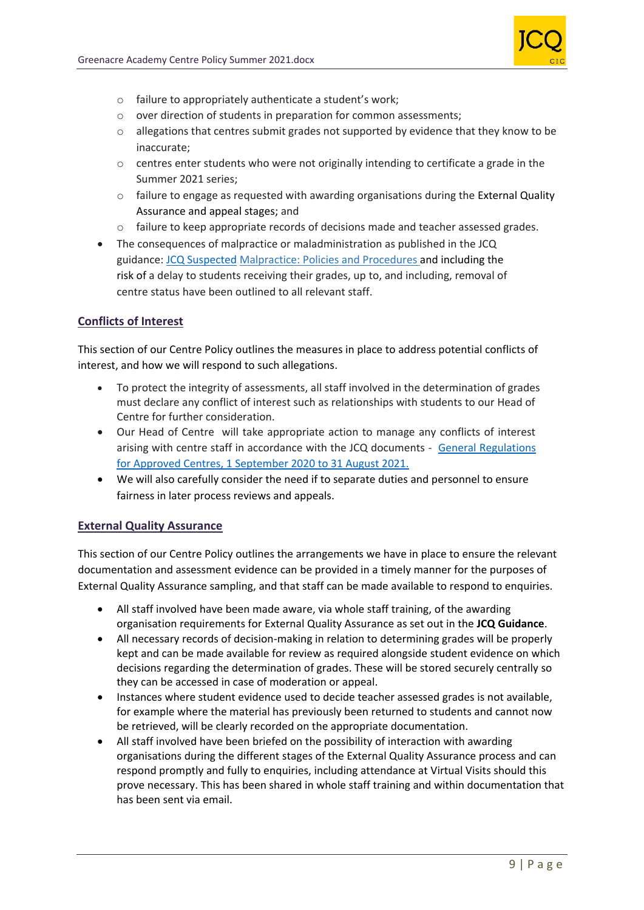

- o failure to appropriately authenticate a student's work;
- o over direction of students in preparation for common assessments;
- $\circ$  allegations that centres submit grades not supported by evidence that they know to be inaccurate;
- $\circ$  centres enter students who were not originally intending to certificate a grade in the Summer 2021 series;
- $\circ$  failure to engage as requested with awarding organisations during the External Quality Assurance and appeal stages; and
- o failure to keep appropriate records of decisions made and teacher assessed grades.
- The consequences of malpractice or maladministration as published in the JCQ guidance: [JCQ Suspected](https://www.jcq.org.uk/exams-office/malpractice/jcq-suspected-malpractice-policies-and-procedures-2019-2020) Malpractice: Policies and Procedures and including the risk of a delay to students receiving their grades, up to, and including, removal of centre status have been outlined to all relevant staff.

# **Conflicts of Interest**

This section of our Centre Policy outlines the measures in place to address potential conflicts of interest, and how we will respond to such allegations.

- To protect the integrity of assessments, all staff involved in the determination of grades must declare any conflict of interest such as relationships with students to our Head of Centre for further consideration.
- Our Head of Centre will take appropriate action to manage any conflicts of interest arising with centre staff in accordance with the JCQ documents - [General Regulations](https://www.jcq.org.uk/wp-content/uploads/2020/09/Gen_regs_approved_centres_20-21_FINAL.pdf)  [for Approved Centres, 1 September 2020 to 31 August 2021.](https://www.jcq.org.uk/wp-content/uploads/2020/09/Gen_regs_approved_centres_20-21_FINAL.pdf)
- We will also carefully consider the need if to separate duties and personnel to ensure fairness in later process reviews and appeals.

#### **External Quality Assurance**

This section of our Centre Policy outlines the arrangements we have in place to ensure the relevant documentation and assessment evidence can be provided in a timely manner for the purposes of External Quality Assurance sampling, and that staff can be made available to respond to enquiries.

- All staff involved have been made aware, via whole staff training, of the awarding organisation requirements for External Quality Assurance as set out in the **JCQ Guidance**.
- All necessary records of decision-making in relation to determining grades will be properly kept and can be made available for review as required alongside student evidence on which decisions regarding the determination of grades. These will be stored securely centrally so they can be accessed in case of moderation or appeal.
- Instances where student evidence used to decide teacher assessed grades is not available, for example where the material has previously been returned to students and cannot now be retrieved, will be clearly recorded on the appropriate documentation.
- All staff involved have been briefed on the possibility of interaction with awarding organisations during the different stages of the External Quality Assurance process and can respond promptly and fully to enquiries, including attendance at Virtual Visits should this prove necessary. This has been shared in whole staff training and within documentation that has been sent via email.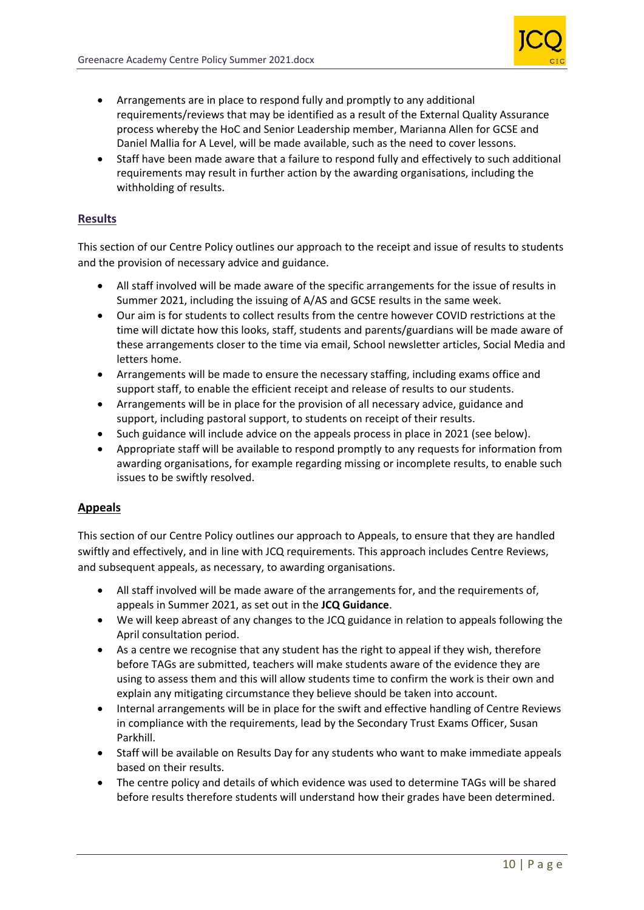

- Arrangements are in place to respond fully and promptly to any additional requirements/reviews that may be identified as a result of the External Quality Assurance process whereby the HoC and Senior Leadership member, Marianna Allen for GCSE and Daniel Mallia for A Level, will be made available, such as the need to cover lessons.
- Staff have been made aware that a failure to respond fully and effectively to such additional requirements may result in further action by the awarding organisations, including the withholding of results.

# **Results**

This section of our Centre Policy outlines our approach to the receipt and issue of results to students and the provision of necessary advice and guidance.

- All staff involved will be made aware of the specific arrangements for the issue of results in Summer 2021, including the issuing of A/AS and GCSE results in the same week.
- Our aim is for students to collect results from the centre however COVID restrictions at the time will dictate how this looks, staff, students and parents/guardians will be made aware of these arrangements closer to the time via email, School newsletter articles, Social Media and letters home.
- Arrangements will be made to ensure the necessary staffing, including exams office and support staff, to enable the efficient receipt and release of results to our students.
- Arrangements will be in place for the provision of all necessary advice, guidance and support, including pastoral support, to students on receipt of their results.
- Such guidance will include advice on the appeals process in place in 2021 (see below).
- Appropriate staff will be available to respond promptly to any requests for information from awarding organisations, for example regarding missing or incomplete results, to enable such issues to be swiftly resolved.

# **Appeals**

This section of our Centre Policy outlines our approach to Appeals, to ensure that they are handled swiftly and effectively, and in line with JCQ requirements. This approach includes Centre Reviews, and subsequent appeals, as necessary, to awarding organisations.

- All staff involved will be made aware of the arrangements for, and the requirements of, appeals in Summer 2021, as set out in the **JCQ Guidance**.
- We will keep abreast of any changes to the JCQ guidance in relation to appeals following the April consultation period.
- As a centre we recognise that any student has the right to appeal if they wish, therefore before TAGs are submitted, teachers will make students aware of the evidence they are using to assess them and this will allow students time to confirm the work is their own and explain any mitigating circumstance they believe should be taken into account.
- Internal arrangements will be in place for the swift and effective handling of Centre Reviews in compliance with the requirements, lead by the Secondary Trust Exams Officer, Susan Parkhill.
- Staff will be available on Results Day for any students who want to make immediate appeals based on their results.
- The centre policy and details of which evidence was used to determine TAGs will be shared before results therefore students will understand how their grades have been determined.